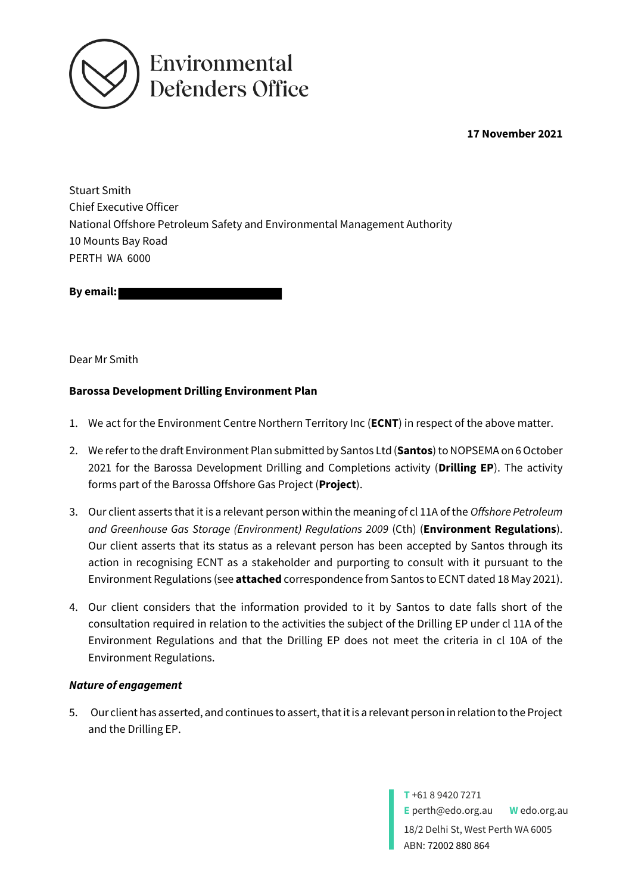

**17 November 2021**

Stuart Smith Chief Executive Officer National Offshore Petroleum Safety and Environmental Management Authority 10 Mounts Bay Road PERTH WA 6000

**By email:** 

Dear Mr Smith

### **Barossa Development Drilling Environment Plan**

- 1. We act for the Environment Centre Northern Territory Inc (**ECNT**) in respect of the above matter.
- 2. We refer to the draft Environment Plan submitted by Santos Ltd (**Santos**) to NOPSEMA on 6October 2021 for the Barossa Development Drilling and Completions activity (**Drilling EP**). The activity forms part of the Barossa Offshore Gas Project (**Project**).
- 3. Our client asserts that it is a relevant person within the meaning of cl 11A of the *Offshore Petroleum and Greenhouse Gas Storage (Environment) Regulations 2009* (Cth) (**Environment Regulations**). Our client asserts that its status as a relevant person has been accepted by Santos through its action in recognising ECNT as a stakeholder and purporting to consult with it pursuant to the Environment Regulations (see **attached** correspondence from Santos to ECNT dated 18 May 2021).
- 4. Our client considers that the information provided to it by Santos to date falls short of the consultation required in relation to the activities the subject of the Drilling EP under cl 11A of the Environment Regulations and that the Drilling EP does not meet the criteria in cl 10A of the Environment Regulations.

#### *Nature of engagement*

5. Our client has asserted, and continues to assert, that it is a relevant person in relation to the Project and the Drilling EP.

> **T** +61 8 9420 7271 **E** perth@edo.org.au **W** edo.org.au 18/2 Delhi St, West Perth WA 6005 ABN: 72002 880 864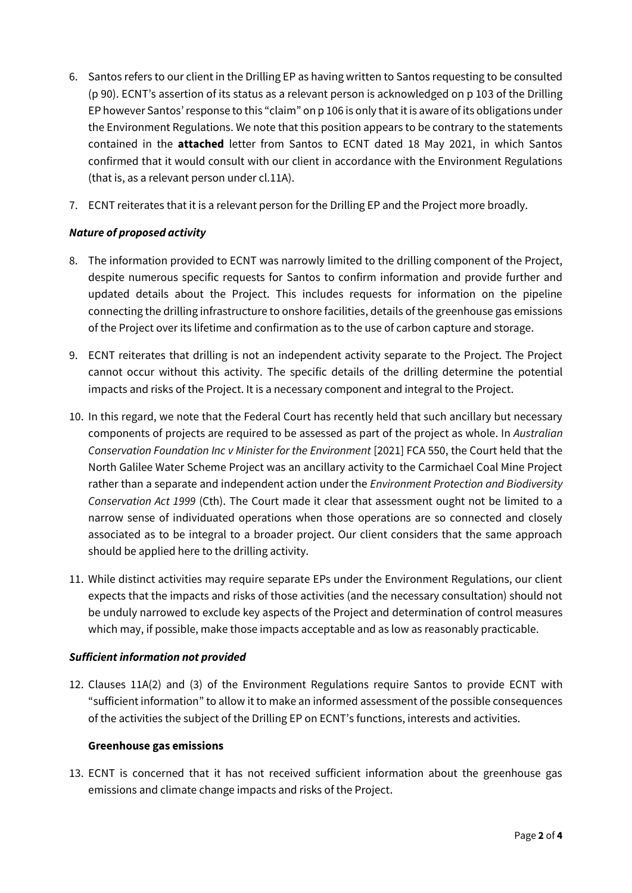- 6. Santos refers to our client in the Drilling EP as having written to Santos requesting to be consulted (p 90). ECNT's assertion of its status as a relevant person is acknowledged on p 103 of the Drilling EP however Santos' response to this "claim" on p 106 is only that it is aware of its obligations under the Environment Regulations. We note that this position appears to be contrary to the statements contained in the **attached** letter from Santos to ECNT dated 18 May 2021, in which Santos confirmed that it would consult with our client in accordance with the Environment Regulations (that is, as a relevant person under cl.11A).
- 7. ECNT reiterates that it is a relevant person for the Drilling EP and the Project more broadly.

## *Nature of proposed activity*

- 8. The information provided to ECNT was narrowly limited to the drilling component of the Project, despite numerous specific requests for Santos to confirm information and provide further and updated details about the Project. This includes requests for information on the pipeline connecting the drilling infrastructure to onshore facilities, details of the greenhouse gas emissions of the Project over its lifetime and confirmation as to the use of carbon capture and storage.
- 9. ECNT reiterates that drilling is not an independent activity separate to the Project. The Project cannot occur without this activity. The specific details of the drilling determine the potential impacts and risks of the Project. It is a necessary component and integral to the Project.
- 10. In this regard, we note that the Federal Court has recently held that such ancillary but necessary components of projects are required to be assessed as part of the project as whole. In *Australian Conservation Foundation Inc v Minister for the Environment* [2021] FCA 550, the Court held that the North Galilee Water Scheme Project was an ancillary activity to the Carmichael Coal Mine Project rather than a separate and independent action under the *Environment Protection and Biodiversity Conservation Act 1999* (Cth). The Court made it clear that assessment ought not be limited to a narrow sense of individuated operations when those operations are so connected and closely associated as to be integral to a broader project. Our client considers that the same approach should be applied here to the drilling activity.
- 11. While distinct activities may require separate EPs under the Environment Regulations, our client expects that the impacts and risks of those activities (and the necessary consultation) should not be unduly narrowed to exclude key aspects of the Project and determination of control measures which may, if possible, make those impacts acceptable and as low as reasonably practicable.

### *Sufficient information not provided*

12. Clauses 11A(2) and (3) of the Environment Regulations require Santos to provide ECNT with "sufficient information" to allow it to make an informed assessment of the possible consequences of the activities the subject of the Drilling EP on ECNT's functions, interests and activities.

### **Greenhouse gas emissions**

13. ECNT is concerned that it has not received sufficient information about the greenhouse gas emissions and climate change impacts and risks of the Project.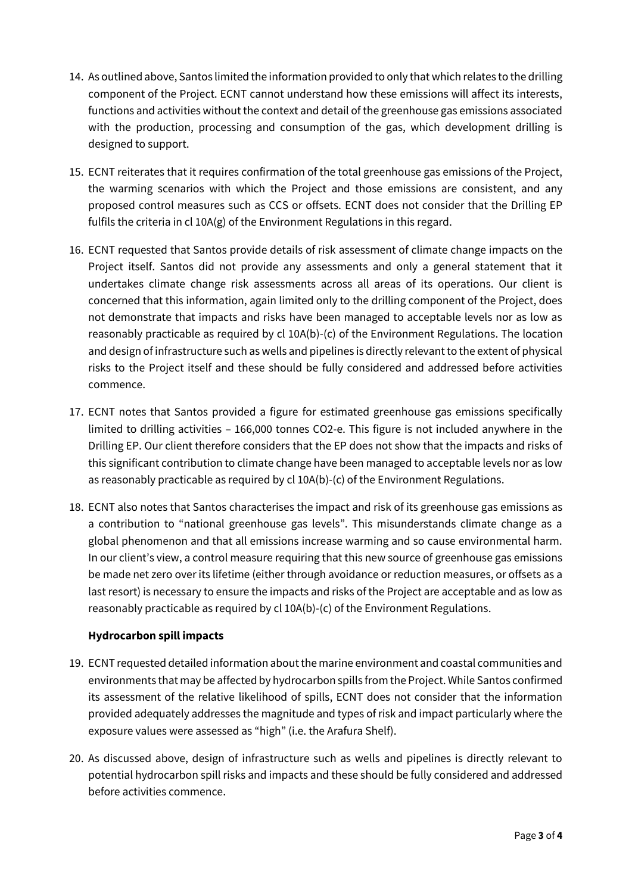- 14. As outlined above, Santos limited the information provided to only that which relates to the drilling component of the Project. ECNT cannot understand how these emissions will affect its interests, functions and activities without the context and detail of the greenhouse gas emissions associated with the production, processing and consumption of the gas, which development drilling is designed to support.
- 15. ECNT reiterates that it requires confirmation of the total greenhouse gas emissions of the Project, the warming scenarios with which the Project and those emissions are consistent, and any proposed control measures such as CCS or offsets. ECNT does not consider that the Drilling EP fulfils the criteria in cl 10A(g) of the Environment Regulations in this regard.
- 16. ECNT requested that Santos provide details of risk assessment of climate change impacts on the Project itself. Santos did not provide any assessments and only a general statement that it undertakes climate change risk assessments across all areas of its operations. Our client is concerned that this information, again limited only to the drilling component of the Project, does not demonstrate that impacts and risks have been managed to acceptable levels nor as low as reasonably practicable as required by cl 10A(b)-(c) of the Environment Regulations. The location and design of infrastructure such as wells and pipelines is directly relevant to the extent of physical risks to the Project itself and these should be fully considered and addressed before activities commence.
- 17. ECNT notes that Santos provided a figure for estimated greenhouse gas emissions specifically limited to drilling activities – 166,000 tonnes CO2-e. This figure is not included anywhere in the Drilling EP. Our client therefore considers that the EP does not show that the impacts and risks of this significant contribution to climate change have been managed to acceptable levels nor as low as reasonably practicable as required by cl 10A(b)-(c) of the Environment Regulations.
- 18. ECNT also notes that Santos characterises the impact and risk of its greenhouse gas emissions as a contribution to "national greenhouse gas levels". This misunderstands climate change as a global phenomenon and that all emissions increase warming and so cause environmental harm. In our client's view, a control measure requiring that this new source of greenhouse gas emissions be made net zero over its lifetime (either through avoidance or reduction measures, or offsets as a last resort) is necessary to ensure the impacts and risks of the Project are acceptable and as low as reasonably practicable as required by cl 10A(b)-(c) of the Environment Regulations.

# **Hydrocarbon spill impacts**

- 19. ECNT requested detailed information about the marine environment and coastal communities and environments that may be affected by hydrocarbon spills from the Project. While Santos confirmed its assessment of the relative likelihood of spills, ECNT does not consider that the information provided adequately addresses the magnitude and types of risk and impact particularly where the exposure values were assessed as "high" (i.e. the Arafura Shelf).
- 20. As discussed above, design of infrastructure such as wells and pipelines is directly relevant to potential hydrocarbon spill risks and impacts and these should be fully considered and addressed before activities commence.